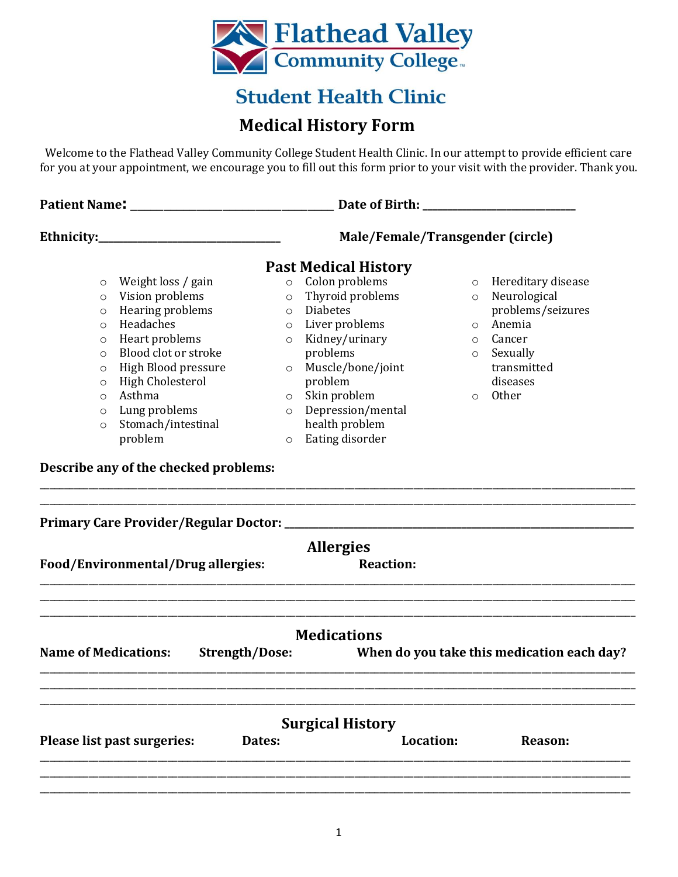

# **Student Health Clinic**

## **Medical History Form**

Welcome to the Flathead Valley Community College Student Health Clinic. In our attempt to provide efficient care for you at your appointment, we encourage you to fill out this form prior to your visit with the provider. Thank you.

| <b>Patient Name:</b> |                         | Date of Birth: National Property of Birth: |                             |         |                    |
|----------------------|-------------------------|--------------------------------------------|-----------------------------|---------|--------------------|
| Ethnicity:__         |                         | Male/Female/Transgender (circle)           |                             |         |                    |
|                      |                         |                                            | <b>Past Medical History</b> |         |                    |
| $\circ$              | Weight loss / gain      |                                            | o Colon problems            | $\circ$ | Hereditary disease |
| $\circ$              | Vision problems         | $\circ$                                    | Thyroid problems            | $\circ$ | Neurological       |
| $\circ$              | Hearing problems        | $\circ$                                    | <b>Diabetes</b>             |         | problems/seizures  |
| $\circ$              | Headaches               | $\circ$                                    | Liver problems              | $\circ$ | Anemia             |
| $\circ$              | Heart problems          | $\circ$                                    | Kidney/urinary              | $\circ$ | Cancer             |
| $\circ$              | Blood clot or stroke    |                                            | problems                    | $\circ$ | Sexually           |
| $\circ$              | High Blood pressure     | $\circ$                                    | Muscle/bone/joint           |         | transmitted        |
| $\circ$              | <b>High Cholesterol</b> |                                            | problem                     |         | diseases           |
| $\circ$              | Asthma                  | $\circ$                                    | Skin problem                | $\circ$ | <b>Other</b>       |
| $\circ$              | Lung problems           | $\circ$                                    | Depression/mental           |         |                    |
| $\circ$              | Stomach/intestinal      |                                            | health problem              |         |                    |
|                      | problem                 | $\circ$                                    | Eating disorder             |         |                    |

|        | <b>Reaction:</b>                                     |                                                                   |
|--------|------------------------------------------------------|-------------------------------------------------------------------|
|        |                                                      |                                                                   |
|        |                                                      |                                                                   |
|        | When do you take this medication each day?           |                                                                   |
|        |                                                      |                                                                   |
| Dates: | Location:                                            | Reason:                                                           |
|        |                                                      |                                                                   |
|        | Food/Environmental/Drug allergies:<br>Strength/Dose: | <b>Allergies</b><br><b>Medications</b><br><b>Surgical History</b> |